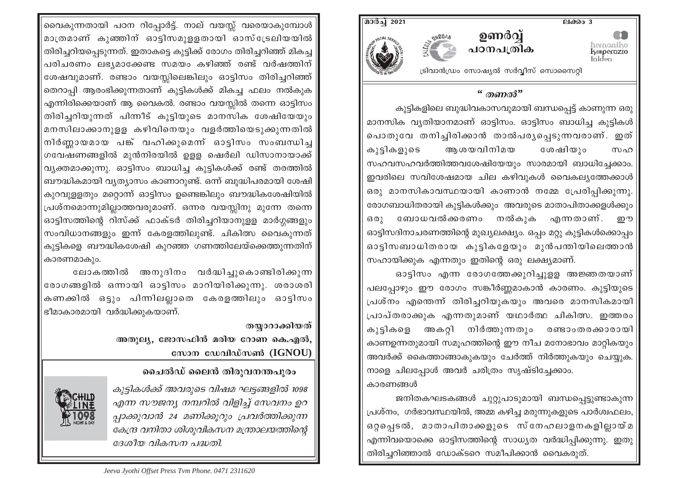

## $\lq\lq$  mano<sup>3"</sup>

കുട്ടികളിലെ ബുദ്ധിവകാസവുമായി ബന്ധപ്പെട്ട് കാണുന്ന ഒരു മാനസിക വ്യതിയാനമാണ് ഓട്ടിസം. ഓട്ടിസം ബാധിച്ച കുട്ടികൾ പൊതുവേ തനിച്ചിരിക്കാൻ താൽപരൃപ്പെടുന്നവരാണ്. ഇത് കുട്ടികളുടെ ആശയവിനിമയ ശേഷിയും സഹ സഹവസഹവർത്തിത്തവശേഷിയേയും സാരമായി ബാധിച്ചേക്കാം. ഇവരിലെ സവിശേഷമായ ചില കഴിവുകൾ വൈകല്യത്തേക്കാൾ $\mid$ ഒരു മാനസികാവസ്ഥയായി കാണാൻ നമ്മേ പ്രേരിപ്പിക്കുന്നു. രോഗബാധിതരായി കുട്ടികൾക്കും അവരുടെ മാതാപിതാക്കളൾക്കും ബോധവൽക്കരണം നൽകുക എന്നതാണ്.  $6301$ ഈ ഓട്ടിസദിനാചരണത്തിന്റെ മുഖ്യലക്ഷ്യം. ഒപ്പം മറ്റു കുട്ടികൾക്കൊപ്പം ഓട്ടിസബാധിതരായ കൂട്ടികളേയും മുൻപന്തിയിലെത്താൻ സഹായിക്കുക എന്നതും ഇതിന്റെ ഒരു ലക്ഷ്യമാണ്.

ഓട്ടിസം എന്ന രോഗത്തേക്കുറിച്ചുള്ള അജ്ഞതയാണ് പലപ്പോഴും ഈ രോഗം സങ്കീർണ്ണമാകാൻ കാരണം. കുട്ടിയുടെ പ്രശ്നം എന്തെന്ന് തിരിച്ചറിയുകയും അവരെ മാനസികമായി $\mid$ പ്രാപ്തരാക്കുക എന്നതുമാണ് യഥാർത്ഥ ചികിത്സ. ഇത്തരം കുട്ടികളെ അകറ്റി നിർത്തുന്നതും രണ്ടാംതരക്കാരായി കാണഉന്നതുമായി സമൂഹത്തിന്റെ ഈ നീച മനോഭാവം മാറ്റികയും അവർക്ക് കൈത്താങ്ങാകുകയും ചേർത്ത് നിർത്തുകയും ചെയ്യുക. നാളെ ചിലപ്പോൾ അവർ ചരിത്രം സൃഷ്ടിച്ചേക്കാം. കാരണങ്ങൾ

ജനിതകഘടകങ്ങൾ ചുറ്റുപാടുമായി ബന്ധപ്പെട്ടുണ്ടാകുന്ന $\mid$ പ്രശ്നം, ഗർഭാവസ്ഥയിൽ, അമ്മ കഴിച്ച മരുന്നുകളുടെ പാർശ്വഫലം, ഒറ്റപ്പെടൽ, മാതാപിതാക്കളുടെ സ്നേഹലാളനകളില്ലായ്മ| എന്നിവയൊക്കെ ഓട്ടിസത്തിന്റെ സാധ്യത വർദ്ധിപ്പിക്കുന്നു. ഇതു തിരിച്ചറിഞ്ഞാൽ ഡോക്ടറെ സമീപിക്കാൻ വൈകരുത്.

വൈകുന്നതായി പഠന റിപ്പോർട്ട്. നാല് വയസ്സ് വരെയാകുമ്പോൾ മാത്രമാണ് കുഞ്ഞിന് ഓട്ടിസമുളളതായി ഓസ്ട്രേലിയയിൽ തിരിച്ചറിയപ്പെടുന്നത്. ഇതാകട്ടെ കുട്ടിക്ക് രോഗം തിരിച്ചറിഞ്ഞ് മികച്ച പരിചരണം ലഭ്യമാക്കേണ്ട സമയം കഴിഞ്ഞ് രണ്ട് വർഷത്തിന് ശേഷവുമാണ്. രണ്ടാം വയസ്സിലെങ്കിലും ഓട്ടിസം തിരിച്ചറിഞ്ഞ് തെറാപ്പി ആരംഭിക്കുന്നതാണ് കുട്ടികൾക്ക് മികച്ച ഫലം നൽകുക എന്നിരിക്കെയാണ് ആ വൈകൽ. രണ്ടാം വയസ്സിൽ തന്നെ ഓട്ടിസം തിരിച്ചറിയുന്നത് പിന്നീട് കുട്ടിയുടെ മാനസിക ശേഷിയേയും മനസിലാക്കാനുളള കഴിവിനെയും വളർത്തിയെടുക്കുന്നതിൽ നിർണ്ണായമായ പങ്ക് വഹിക്കുമെന്ന് ഓട്ടിസം സംബന്ധിച്ച ഗവേഷണങ്ങളിൽ മുൻനിരയിൽ ഉളള ഷെർലി ഡിസാനായാക്ക് വ്യക്തമാക്കുന്നു. ഓട്ടിസം ബാധിച്ച കുട്ടികൾക്ക് രണ്ട് തരത്തിൽ ബൗദ്ധികമായി വ്യത്യാസം കാണാറുണ്ട്. ഒന്ന് ബുദ്ധിപരമായി ശേഷി കുറവുള്ളതും മറ്റൊന്ന് ഓട്ടിസം ഉണ്ടെങ്കിലും ബൗദ്ധികശേഷിയിൽ പ്രശ്നമൊന്നുമില്ലാത്തവരുമാണ്. ഒന്നര വയസ്സിനു മുന്നേ തന്നെ ഓട്ടിസത്തിന്റെ റിസ്ക്ക് ഫാക്ടർ തിരിച്ചറിയാനുളള മാർഗ്ഗങ്ങളും സംവിധാനങ്ങളും ഇന്ന് കേരളത്തിലുണ്ട്. ചികിത്സ വൈകുന്നത് കുട്ടികളെ ബൗദ്ധികശേഷി കുറഞ്ഞ ഗണത്തിലേയ്ക്കെത്തുന്നതിന് കാരണമാകും.

ലോകത്തിൽ അനുദിനം വർദ്ധിച്ചുകൊണ്ടിരിക്കുന്ന രോഗങ്ങളിൽ ഒന്നായി ഓട്ടിസം മാറിയിരിക്കുന്നു. ശരാശരി കണക്കിൽ ഒട്ടും പിന്നിലല്ലാതെ കേരളത്തിലും ഓട്ടിസം ഭീമാകാരമായി വർദ്ധിക്കുകയാണ്.

> തയ്യാറാക്കിയത് അതുല്യ, ജോസഫിൻ മരിയ റോണ കെ.എൽ, സോന ഡേവിഡ്സൺ (IGNOU)

# ചൈൽഡ് ലൈൻ തിരുവനന്തപുരം

കുട്ടികൾക്ക് അവരുടെ വിഷമ ഘട്ടങ്ങളിൽ 1098 എന്ന സൗജന്യ നമ്പറിൽ വിളിച്ച് സേവനം ഉറ പ്പാക്കുവാൻ 24 മണിക്കൂറും പ്രവർത്തിക്കുന്ന കേന്ദ്ര വനിതാ ശിശുവികസന മന്ത്രാലയത്തിന്റെ ദേശീയ വികസന പദ്ധതി.